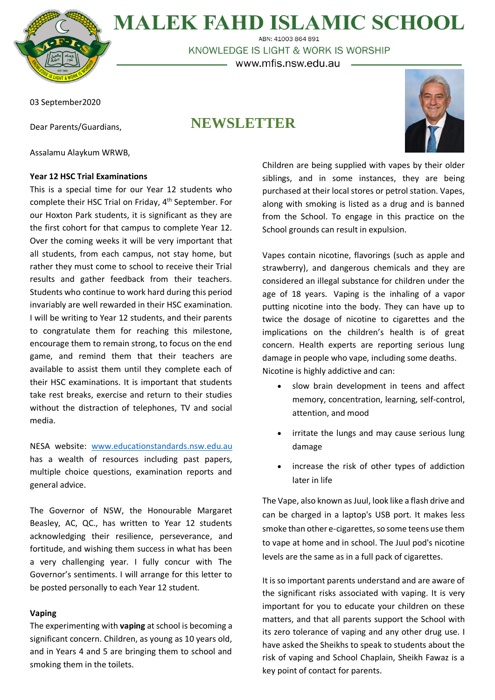

**MALEK FAHD ISLAMIC SCHOOL** ABN: 41003 864 891

KNOWLEDGE IS LIGHT & WORK IS WORSHIP – www.mfis.nsw.edu.au –

**NEWSLETTER**

03 September2020

Dear Parents/Guardians,

Assalamu Alaykum WRWB,

# **Year 12 HSC Trial Examinations**

This is a special time for our Year 12 students who complete their HSC Trial on Friday, 4<sup>th</sup> September. For our Hoxton Park students, it is significant as they are the first cohort for that campus to complete Year 12. Over the coming weeks it will be very important that all students, from each campus, not stay home, but rather they must come to school to receive their Trial results and gather feedback from their teachers. Students who continue to work hard during this period invariably are well rewarded in their HSC examination. I will be writing to Year 12 students, and their parents to congratulate them for reaching this milestone, encourage them to remain strong, to focus on the end game, and remind them that their teachers are available to assist them until they complete each of their HSC examinations. It is important that students take rest breaks, exercise and return to their studies without the distraction of telephones, TV and social media.

NESA website: [www.educationstandards.nsw.edu.au](http://www.educationstandards.nsw.edu.au/) has a wealth of resources including past papers, multiple choice questions, examination reports and general advice.

The Governor of NSW, the Honourable Margaret Beasley, AC, QC., has written to Year 12 students acknowledging their resilience, perseverance, and fortitude, and wishing them success in what has been a very challenging year. I fully concur with The Governor's sentiments. I will arrange for this letter to be posted personally to each Year 12 student.

## **Vaping**

The experimenting with **vaping** at school is becoming a significant concern. Children, as young as 10 years old, and in Years 4 and 5 are bringing them to school and smoking them in the toilets.



Children are being supplied with vapes by their older siblings, and in some instances, they are being purchased at their local stores or petrol station. Vapes, along with smoking is listed as a drug and is banned from the School. To engage in this practice on the School grounds can result in expulsion.

Vapes contain nicotine, flavorings (such as apple and strawberry), and dangerous chemicals and they are considered an illegal substance for children under the age of 18 years. Vaping is the inhaling of a vapor putting nicotine into the body. They can have up to twice the dosage of nicotine to cigarettes and the implications on the children's health is of great concern. Health experts are reporting serious lung damage in people who vape, including some deaths. Nicotine is highly addictive and can:

- slow brain development in teens and affect memory, concentration, learning, self-control, attention, and mood
- irritate the lungs and may cause serious lung damage
- increase the risk of other types of addiction later in life

The Vape, also known as Juul, look like a flash drive and can be charged in a laptop's USB port. It makes less smoke than other e-cigarettes, so some teens use them to vape at home and in school. The Juul pod's nicotine levels are the same as in a full pack of cigarettes.

It is so important parents understand and are aware of the significant risks associated with vaping. It is very important for you to educate your children on these matters, and that all parents support the School with its zero tolerance of vaping and any other drug use. I have asked the Sheikhs to speak to students about the risk of vaping and School Chaplain, Sheikh Fawaz is a key point of contact for parents.